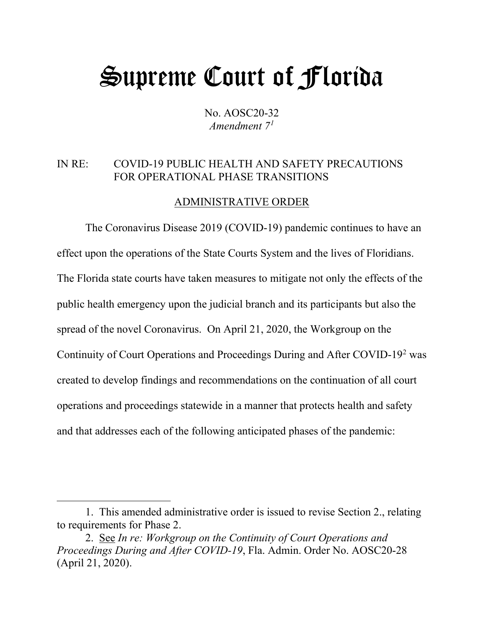# Supreme Court of Florida

No. AOSC20-32 *Amendment 7[1](#page-0-0)*

### IN RE: COVID-19 PUBLIC HEALTH AND SAFETY PRECAUTIONS FOR OPERATIONAL PHASE TRANSITIONS

#### ADMINISTRATIVE ORDER

The Coronavirus Disease 2019 (COVID-19) pandemic continues to have an effect upon the operations of the State Courts System and the lives of Floridians. The Florida state courts have taken measures to mitigate not only the effects of the public health emergency upon the judicial branch and its participants but also the spread of the novel Coronavirus. On April 21, 2020, the Workgroup on the Continuity of Court Operations and Proceedings During and After COVID-19[2](#page-0-1) was created to develop findings and recommendations on the continuation of all court operations and proceedings statewide in a manner that protects health and safety and that addresses each of the following anticipated phases of the pandemic:

<span id="page-0-0"></span><sup>1.</sup> This amended administrative order is issued to revise Section 2., relating to requirements for Phase 2.

<span id="page-0-1"></span><sup>2.</sup> See *In re: Workgroup on the Continuity of Court Operations and Proceedings During and After COVID-19*, Fla. Admin. Order No. AOSC20-28 (April 21, 2020).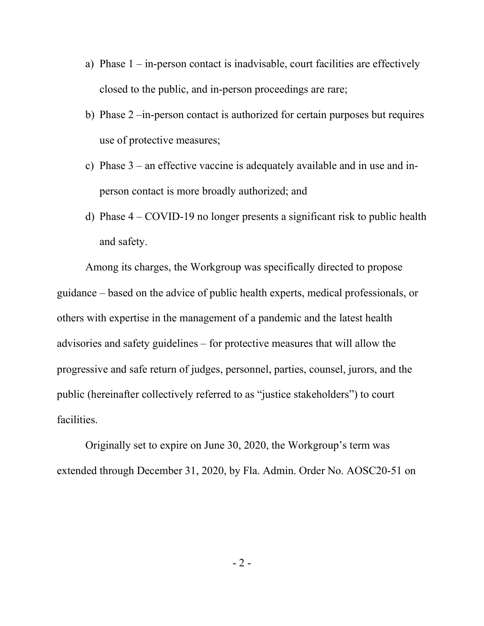- a) Phase  $1 in$ -person contact is inadvisable, court facilities are effectively closed to the public, and in-person proceedings are rare;
- b) Phase 2 –in-person contact is authorized for certain purposes but requires use of protective measures;
- c) Phase  $3$  an effective vaccine is adequately available and in use and inperson contact is more broadly authorized; and
- d) Phase 4 COVID-19 no longer presents a significant risk to public health and safety.

Among its charges, the Workgroup was specifically directed to propose guidance – based on the advice of public health experts, medical professionals, or others with expertise in the management of a pandemic and the latest health advisories and safety guidelines – for protective measures that will allow the progressive and safe return of judges, personnel, parties, counsel, jurors, and the public (hereinafter collectively referred to as "justice stakeholders") to court facilities.

Originally set to expire on June 30, 2020, the Workgroup's term was extended through December 31, 2020, by Fla. Admin. Order No. AOSC20-51 on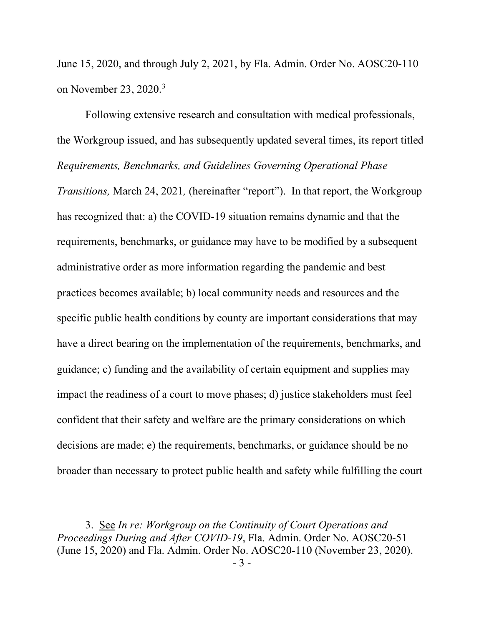June 15, 2020, and through July 2, 2021, by Fla. Admin. Order No. AOSC20-110 on November 23, 2020. [3](#page-2-0)

Following extensive research and consultation with medical professionals, the Workgroup issued, and has subsequently updated several times, its report titled *Requirements, Benchmarks, and Guidelines Governing Operational Phase Transitions,* March 24, 2021*,* (hereinafter "report"). In that report, the Workgroup has recognized that: a) the COVID-19 situation remains dynamic and that the requirements, benchmarks, or guidance may have to be modified by a subsequent administrative order as more information regarding the pandemic and best practices becomes available; b) local community needs and resources and the specific public health conditions by county are important considerations that may have a direct bearing on the implementation of the requirements, benchmarks, and guidance; c) funding and the availability of certain equipment and supplies may impact the readiness of a court to move phases; d) justice stakeholders must feel confident that their safety and welfare are the primary considerations on which decisions are made; e) the requirements, benchmarks, or guidance should be no broader than necessary to protect public health and safety while fulfilling the court

<span id="page-2-0"></span><sup>3.</sup> See *In re: Workgroup on the Continuity of Court Operations and Proceedings During and After COVID-19*, Fla. Admin. Order No. AOSC20-51 (June 15, 2020) and Fla. Admin. Order No. AOSC20-110 (November 23, 2020).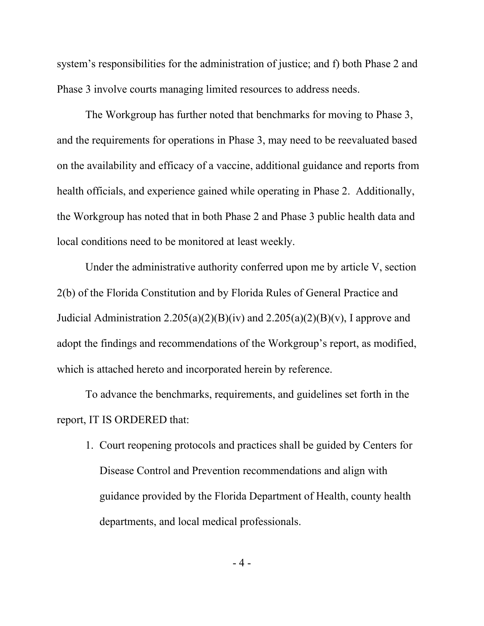system's responsibilities for the administration of justice; and f) both Phase 2 and Phase 3 involve courts managing limited resources to address needs.

The Workgroup has further noted that benchmarks for moving to Phase 3, and the requirements for operations in Phase 3, may need to be reevaluated based on the availability and efficacy of a vaccine, additional guidance and reports from health officials, and experience gained while operating in Phase 2. Additionally, the Workgroup has noted that in both Phase 2 and Phase 3 public health data and local conditions need to be monitored at least weekly.

Under the administrative authority conferred upon me by article V, section 2(b) of the Florida Constitution and by Florida Rules of General Practice and Judicial Administration  $2.205(a)(2)(B)(iv)$  and  $2.205(a)(2)(B)(v)$ , I approve and adopt the findings and recommendations of the Workgroup's report, as modified, which is attached hereto and incorporated herein by reference.

To advance the benchmarks, requirements, and guidelines set forth in the report, IT IS ORDERED that:

1. Court reopening protocols and practices shall be guided by Centers for Disease Control and Prevention recommendations and align with guidance provided by the Florida Department of Health, county health departments, and local medical professionals.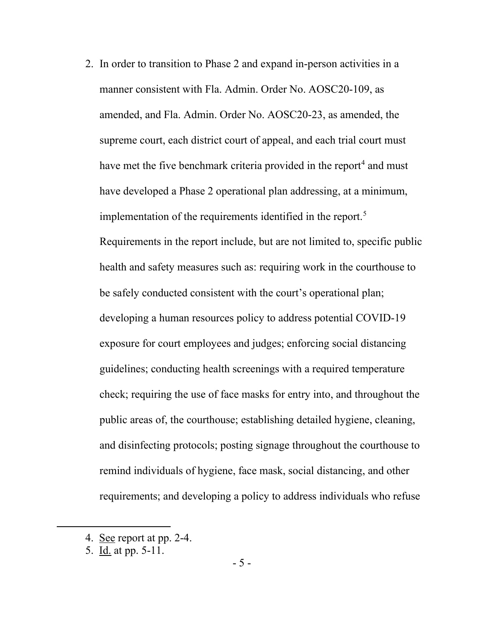2. In order to transition to Phase 2 and expand in-person activities in a manner consistent with Fla. Admin. Order No. AOSC20-109, as amended, and Fla. Admin. Order No. AOSC20-23, as amended, the supreme court, each district court of appeal, and each trial court must have met the five benchmark criteria provided in the report<sup>[4](#page-4-0)</sup> and must have developed a Phase 2 operational plan addressing, at a minimum, implementation of the requirements identified in the report. [5](#page-4-1) Requirements in the report include, but are not limited to, specific public health and safety measures such as: requiring work in the courthouse to be safely conducted consistent with the court's operational plan; developing a human resources policy to address potential COVID-19 exposure for court employees and judges; enforcing social distancing guidelines; conducting health screenings with a required temperature check; requiring the use of face masks for entry into, and throughout the public areas of, the courthouse; establishing detailed hygiene, cleaning, and disinfecting protocols; posting signage throughout the courthouse to remind individuals of hygiene, face mask, social distancing, and other requirements; and developing a policy to address individuals who refuse

<span id="page-4-1"></span>5. Id. at pp. 5-11.

<span id="page-4-0"></span><sup>4.</sup> See report at pp. 2-4.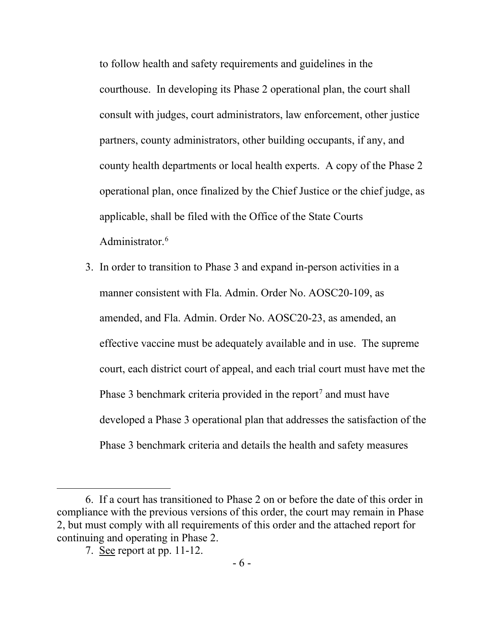to follow health and safety requirements and guidelines in the courthouse. In developing its Phase 2 operational plan, the court shall consult with judges, court administrators, law enforcement, other justice partners, county administrators, other building occupants, if any, and county health departments or local health experts. A copy of the Phase 2 operational plan, once finalized by the Chief Justice or the chief judge, as applicable, shall be filed with the Office of the State Courts Administrator.<sup>[6](#page-5-0)</sup>

3. In order to transition to Phase 3 and expand in-person activities in a manner consistent with Fla. Admin. Order No. AOSC20-109, as amended, and Fla. Admin. Order No. AOSC20-23, as amended, an effective vaccine must be adequately available and in use. The supreme court, each district court of appeal, and each trial court must have met the Phase 3 benchmark criteria provided in the report<sup>[7](#page-5-1)</sup> and must have developed a Phase 3 operational plan that addresses the satisfaction of the Phase 3 benchmark criteria and details the health and safety measures

<span id="page-5-1"></span><span id="page-5-0"></span><sup>6.</sup> If a court has transitioned to Phase 2 on or before the date of this order in compliance with the previous versions of this order, the court may remain in Phase 2, but must comply with all requirements of this order and the attached report for continuing and operating in Phase 2.

<sup>7.</sup> See report at pp. 11-12.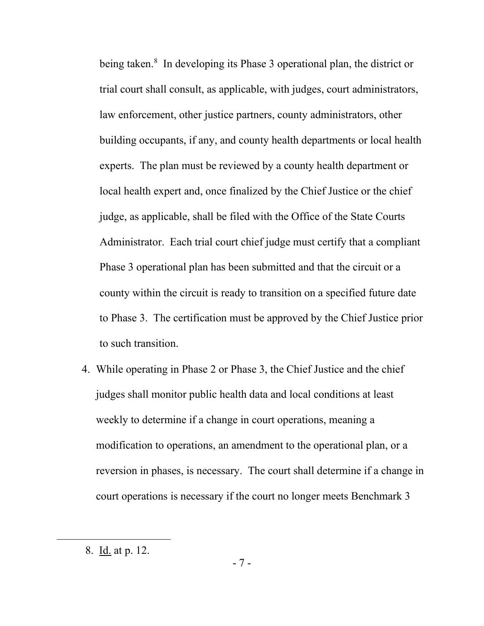being taken.<sup>[8](#page-6-0)</sup> In developing its Phase 3 operational plan, the district or trial court shall consult, as applicable, with judges, court administrators, law enforcement, other justice partners, county administrators, other building occupants, if any, and county health departments or local health experts. The plan must be reviewed by a county health department or local health expert and, once finalized by the Chief Justice or the chief judge, as applicable, shall be filed with the Office of the State Courts Administrator. Each trial court chief judge must certify that a compliant Phase 3 operational plan has been submitted and that the circuit or a county within the circuit is ready to transition on a specified future date to Phase 3. The certification must be approved by the Chief Justice prior to such transition.

4. While operating in Phase 2 or Phase 3, the Chief Justice and the chief judges shall monitor public health data and local conditions at least weekly to determine if a change in court operations, meaning a modification to operations, an amendment to the operational plan, or a reversion in phases, is necessary. The court shall determine if a change in court operations is necessary if the court no longer meets Benchmark 3

<span id="page-6-0"></span><sup>8.</sup> Id. at p. 12.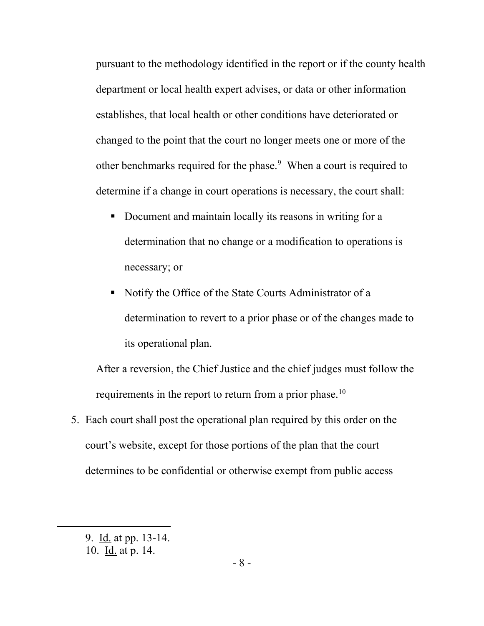pursuant to the methodology identified in the report or if the county health department or local health expert advises, or data or other information establishes, that local health or other conditions have deteriorated or changed to the point that the court no longer meets one or more of the other benchmarks required for the phase.<sup>[9](#page-7-0)</sup> When a court is required to determine if a change in court operations is necessary, the court shall:

- Document and maintain locally its reasons in writing for a determination that no change or a modification to operations is necessary; or
- Notify the Office of the State Courts Administrator of a determination to revert to a prior phase or of the changes made to its operational plan.

After a reversion, the Chief Justice and the chief judges must follow the requirements in the report to return from a prior phase.<sup>[10](#page-7-1)</sup>

5. Each court shall post the operational plan required by this order on the court's website, except for those portions of the plan that the court determines to be confidential or otherwise exempt from public access

<span id="page-7-1"></span><span id="page-7-0"></span><sup>9.</sup> Id. at pp. 13-14.

<sup>10.</sup> Id. at p. 14.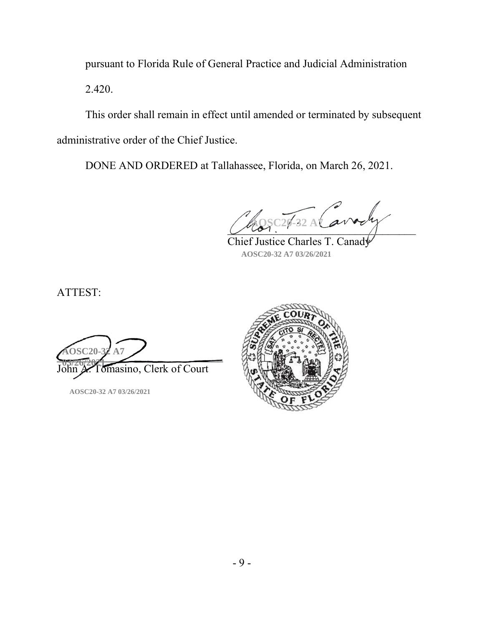pursuant to Florida Rule of General Practice and Judicial Administration 2.420.

This order shall remain in effect until amended or terminated by subsequent administrative order of the Chief Justice.

DONE AND ORDERED at Tallahassee, Florida, on March 26, 2021.

 $\sqrt{2\pi}$ **AOSC20-32 A7 Exercise** Ch

Chief Justice Charles T. Canady **AOSC20-32 A7 03/26/2021**

ATTEST:

 $\frac{\text{AUSC2U-SF A1}}{\text{A0.21}}$ omasino, Clerk of Court **AOSC20-32 A7 03/26/2021**

**AOSC20-32 A7 03/26/2021**

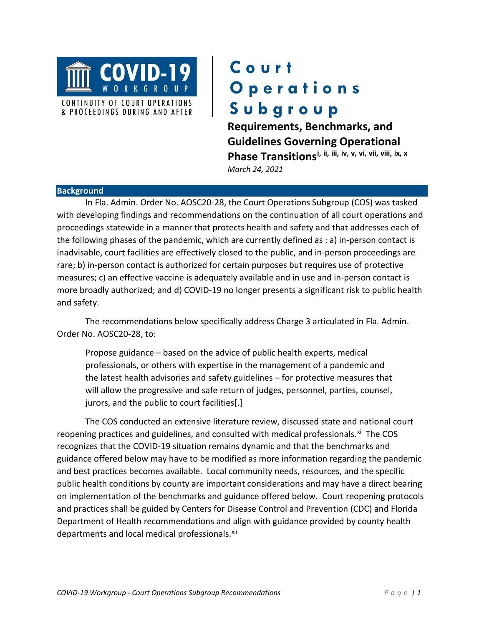

## **Court Operations Subgroup**

**Requirements, Benchmarks, and Guidelines Governing Operational Phase Transitions[i,](#page-26-0) [ii,](#page-26-1) [iii](#page-26-2), [iv,](#page-26-3) [v,](#page-26-4) [vi](#page-26-5), [vii](#page-26-6), [viii](#page-26-7), [ix,](#page-26-8) [x](#page-26-9)** *March 24, 2021*

#### **Background**

In Fla. Admin. Order No. AOSC20-28, the Court Operations Subgroup (COS) was tasked with developing findings and recommendations on the continuation of all court operations and proceedings statewide in a manner that protects health and safety and that addresses each of the following phases of the pandemic, which are currently defined as : a) in-person contact is inadvisable, court facilities are effectively closed to the public, and in-person proceedings are rare; b) in-person contact is authorized for certain purposes but requires use of protective measures; c) an effective vaccine is adequately available and in use and in-person contact is more broadly authorized; and d) COVID-19 no longer presents a significant risk to public health and safety.

The recommendations below specifically address Charge 3 articulated in Fla. Admin. Order No. AOSC20-28, to:

Propose guidance – based on the advice of public health experts, medical professionals, or others with expertise in the management of a pandemic and the latest health advisories and safety guidelines – for protective measures that will allow the progressive and safe return of judges, personnel, parties, counsel, jurors, and the public to court facilities[.]

The COS conducted an extensive literature review, discussed state and national court reopening practices and guidelines, and consulted with medical professionals.<sup>[xi](#page-26-10)</sup> The COS recognizes that the COVID-19 situation remains dynamic and that the benchmarks and guidance offered below may have to be modified as more information regarding the pandemic and best practices becomes available. Local community needs, resources, and the specific public health conditions by county are important considerations and may have a direct bearing on implementation of the benchmarks and guidance offered below. Court reopening protocols and practices shall be guided by Centers for Disease Control and Prevention (CDC) and Florida Department of Health recommendations and align with guidance provided by county health departments and local medical professionals.<sup>[xii](#page-26-11)</sup>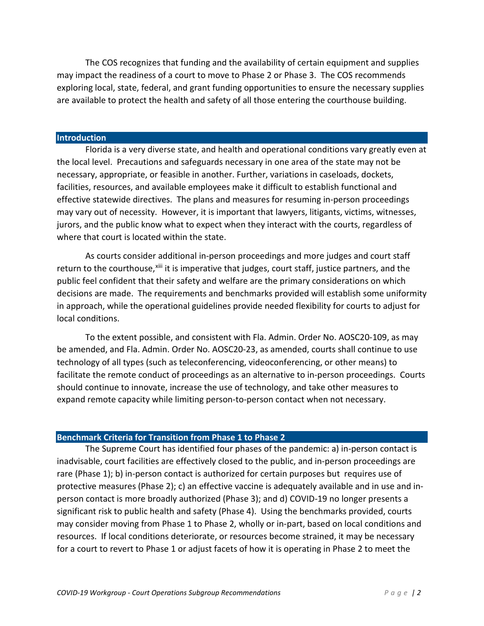The COS recognizes that funding and the availability of certain equipment and supplies may impact the readiness of a court to move to Phase 2 or Phase 3. The COS recommends exploring local, state, federal, and grant funding opportunities to ensure the necessary supplies are available to protect the health and safety of all those entering the courthouse building.

#### **Introduction**

Florida is a very diverse state, and health and operational conditions vary greatly even at the local level. Precautions and safeguards necessary in one area of the state may not be necessary, appropriate, or feasible in another. Further, variations in caseloads, dockets, facilities, resources, and available employees make it difficult to establish functional and effective statewide directives. The plans and measures for resuming in-person proceedings may vary out of necessity. However, it is important that lawyers, litigants, victims, witnesses, jurors, and the public know what to expect when they interact with the courts, regardless of where that court is located within the state.

As courts consider additional in-person proceedings and more judges and court staff return to the courthouse, [xiii](#page-26-12) it is imperative that judges, court staff, justice partners, and the public feel confident that their safety and welfare are the primary considerations on which decisions are made. The requirements and benchmarks provided will establish some uniformity in approach, while the operational guidelines provide needed flexibility for courts to adjust for local conditions.

To the extent possible, and consistent with Fla. Admin. Order No. AOSC20-109, as may be amended, and Fla. Admin. Order No. AOSC20-23, as amended, courts shall continue to use technology of all types (such as teleconferencing, videoconferencing, or other means) to facilitate the remote conduct of proceedings as an alternative to in-person proceedings. Courts should continue to innovate, increase the use of technology, and take other measures to expand remote capacity while limiting person-to-person contact when not necessary.

#### **Benchmark Criteria for Transition from Phase 1 to Phase 2**

The Supreme Court has identified four phases of the pandemic: a) in-person contact is inadvisable, court facilities are effectively closed to the public, and in-person proceedings are rare (Phase 1); b) in-person contact is authorized for certain purposes but requires use of protective measures (Phase 2); c) an effective vaccine is adequately available and in use and inperson contact is more broadly authorized (Phase 3); and d) COVID-19 no longer presents a significant risk to public health and safety (Phase 4). Using the benchmarks provided, courts may consider moving from Phase 1 to Phase 2, wholly or in-part, based on local conditions and resources. If local conditions deteriorate, or resources become strained, it may be necessary for a court to revert to Phase 1 or adjust facets of how it is operating in Phase 2 to meet the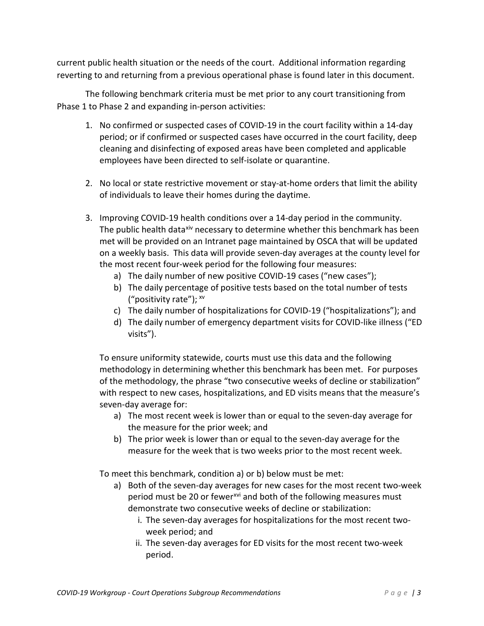current public health situation or the needs of the court. Additional information regarding reverting to and returning from a previous operational phase is found later in this document.

The following benchmark criteria must be met prior to any court transitioning from Phase 1 to Phase 2 and expanding in-person activities:

- 1. No confirmed or suspected cases of COVID-19 in the court facility within a 14-day period; or if confirmed or suspected cases have occurred in the court facility, deep cleaning and disinfecting of exposed areas have been completed and applicable employees have been directed to self-isolate or quarantine.
- 2. No local or state restrictive movement or stay-at-home orders that limit the ability of individuals to leave their homes during the daytime.
- 3. Improving COVID-19 health conditions over a 14-day period in the community. The public health data<sup>[xiv](#page-26-13)</sup> necessary to determine whether this benchmark has been met will be provided on an Intranet page maintained by OSCA that will be updated on a weekly basis. This data will provide seven-day averages at the county level for the most recent four-week period for the following four measures:
	- a) The daily number of new positive COVID-19 cases ("new cases");
	- b) The daily percentage of positive tests based on the total number of tests ("positivity rate"); [xv](#page-26-14)
	- c) The daily number of hospitalizations for COVID-19 ("hospitalizations"); and
	- d) The daily number of emergency department visits for COVID-like illness ("ED visits").

To ensure uniformity statewide, courts must use this data and the following methodology in determining whether this benchmark has been met. For purposes of the methodology, the phrase "two consecutive weeks of decline or stabilization" with respect to new cases, hospitalizations, and ED visits means that the measure's seven-day average for:

- a) The most recent week is lower than or equal to the seven-day average for the measure for the prior week; and
- b) The prior week is lower than or equal to the seven-day average for the measure for the week that is two weeks prior to the most recent week.

To meet this benchmark, condition a) or b) below must be met:

- a) Both of the seven-day averages for new cases for the most recent two-week period must be 20 or fewer<sup>[xvi](#page-27-0)</sup> and both of the following measures must demonstrate two consecutive weeks of decline or stabilization:
	- i. The seven-day averages for hospitalizations for the most recent twoweek period; and
	- ii. The seven-day averages for ED visits for the most recent two-week period.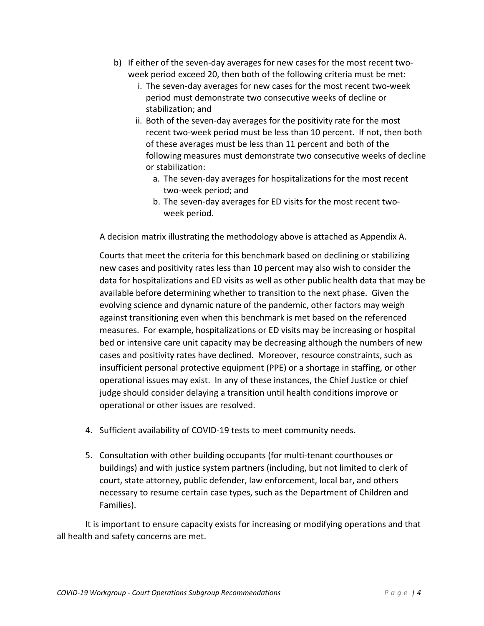- b) If either of the seven-day averages for new cases for the most recent twoweek period exceed 20, then both of the following criteria must be met:
	- i. The seven-day averages for new cases for the most recent two-week period must demonstrate two consecutive weeks of decline or stabilization; and
	- ii. Both of the seven-day averages for the positivity rate for the most recent two-week period must be less than 10 percent. If not, then both of these averages must be less than 11 percent and both of the following measures must demonstrate two consecutive weeks of decline or stabilization:
		- a. The seven-day averages for hospitalizations for the most recent two-week period; and
		- b. The seven-day averages for ED visits for the most recent twoweek period.

A decision matrix illustrating the methodology above is attached as Appendix A.

Courts that meet the criteria for this benchmark based on declining or stabilizing new cases and positivity rates less than 10 percent may also wish to consider the data for hospitalizations and ED visits as well as other public health data that may be available before determining whether to transition to the next phase. Given the evolving science and dynamic nature of the pandemic, other factors may weigh against transitioning even when this benchmark is met based on the referenced measures. For example, hospitalizations or ED visits may be increasing or hospital bed or intensive care unit capacity may be decreasing although the numbers of new cases and positivity rates have declined. Moreover, resource constraints, such as insufficient personal protective equipment (PPE) or a shortage in staffing, or other operational issues may exist. In any of these instances, the Chief Justice or chief judge should consider delaying a transition until health conditions improve or operational or other issues are resolved.

- 4. Sufficient availability of COVID-19 tests to meet community needs.
- 5. Consultation with other building occupants (for multi-tenant courthouses or buildings) and with justice system partners (including, but not limited to clerk of court, state attorney, public defender, law enforcement, local bar, and others necessary to resume certain case types, such as the Department of Children and Families).

It is important to ensure capacity exists for increasing or modifying operations and that all health and safety concerns are met.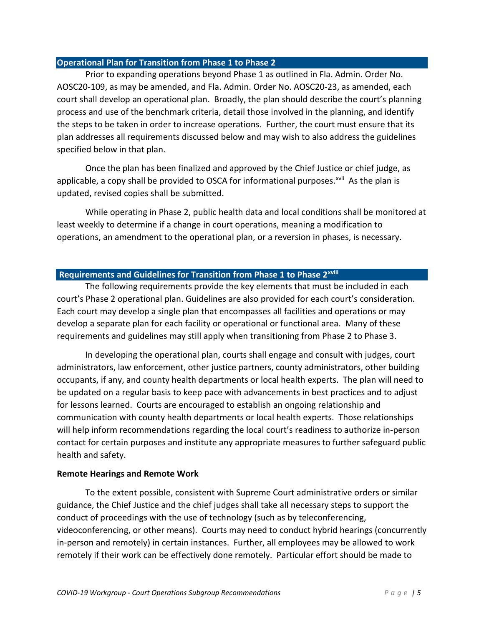#### **Operational Plan for Transition from Phase 1 to Phase 2**

Prior to expanding operations beyond Phase 1 as outlined in Fla. Admin. Order No. AOSC20-109, as may be amended, and Fla. Admin. Order No. AOSC20-23, as amended, each court shall develop an operational plan. Broadly, the plan should describe the court's planning process and use of the benchmark criteria, detail those involved in the planning, and identify the steps to be taken in order to increase operations. Further, the court must ensure that its plan addresses all requirements discussed below and may wish to also address the guidelines specified below in that plan.

Once the plan has been finalized and approved by the Chief Justice or chief judge, as applicable, a copy shall be provided to OSCA for informational purposes.<sup>[xvii](#page-27-1)</sup> As the plan is updated, revised copies shall be submitted.

While operating in Phase 2, public health data and local conditions shall be monitored at least weekly to determine if a change in court operations, meaning a modification to operations, an amendment to the operational plan, or a reversion in phases, is necessary.

#### **Requ[i](#page-27-2)rements and Guidelines for Transition from Phase 1 to Phase 2<sup>xviii</sup>**

The following requirements provide the key elements that must be included in each court's Phase 2 operational plan. Guidelines are also provided for each court's consideration. Each court may develop a single plan that encompasses all facilities and operations or may develop a separate plan for each facility or operational or functional area. Many of these requirements and guidelines may still apply when transitioning from Phase 2 to Phase 3.

In developing the operational plan, courts shall engage and consult with judges, court administrators, law enforcement, other justice partners, county administrators, other building occupants, if any, and county health departments or local health experts. The plan will need to be updated on a regular basis to keep pace with advancements in best practices and to adjust for lessons learned. Courts are encouraged to establish an ongoing relationship and communication with county health departments or local health experts. Those relationships will help inform recommendations regarding the local court's readiness to authorize in-person contact for certain purposes and institute any appropriate measures to further safeguard public health and safety.

#### **Remote Hearings and Remote Work**

To the extent possible, consistent with Supreme Court administrative orders or similar guidance, the Chief Justice and the chief judges shall take all necessary steps to support the conduct of proceedings with the use of technology (such as by teleconferencing, videoconferencing, or other means). Courts may need to conduct hybrid hearings (concurrently in-person and remotely) in certain instances. Further, all employees may be allowed to work remotely if their work can be effectively done remotely. Particular effort should be made to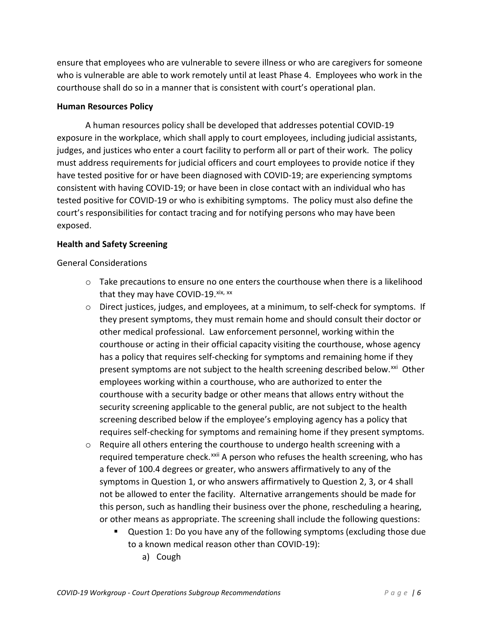ensure that employees who are vulnerable to severe illness or who are caregivers for someone who is vulnerable are able to work remotely until at least Phase 4. Employees who work in the courthouse shall do so in a manner that is consistent with court's operational plan.

#### **Human Resources Policy**

A human resources policy shall be developed that addresses potential COVID-19 exposure in the workplace, which shall apply to court employees, including judicial assistants, judges, and justices who enter a court facility to perform all or part of their work. The policy must address requirements for judicial officers and court employees to provide notice if they have tested positive for or have been diagnosed with COVID-19; are experiencing symptoms consistent with having COVID-19; or have been in close contact with an individual who has tested positive for COVID-19 or who is exhibiting symptoms. The policy must also define the court's responsibilities for contact tracing and for notifying persons who may have been exposed.

#### **Health and Safety Screening**

General Considerations

- o Take precautions to ensure no one enters the courthouse when there is a likelihood that they may have COVID-19. $x$ ix,  $xx$
- o Direct justices, judges, and employees, at a minimum, to self-check for symptoms. If they present symptoms, they must remain home and should consult their doctor or other medical professional. Law enforcement personnel, working within the courthouse or acting in their official capacity visiting the courthouse, whose agency has a policy that requires self-checking for symptoms and remaining home if they present symptoms are not subject to the health screening described below.<sup>[xxi](#page-27-5)</sup> Other employees working within a courthouse, who are authorized to enter the courthouse with a security badge or other means that allows entry without the security screening applicable to the general public, are not subject to the health screening described below if the employee's employing agency has a policy that requires self-checking for symptoms and remaining home if they present symptoms.
- $\circ$  Require all others entering the courthouse to undergo health screening with a required temperature check.<sup>[xxii](#page-27-6)</sup> A person who refuses the health screening, who has a fever of 100.4 degrees or greater, who answers affirmatively to any of the symptoms in Question 1, or who answers affirmatively to Question 2, 3, or 4 shall not be allowed to enter the facility. Alternative arrangements should be made for this person, such as handling their business over the phone, rescheduling a hearing, or other means as appropriate. The screening shall include the following questions:
	- Question 1: Do you have any of the following symptoms (excluding those due to a known medical reason other than COVID-19):
		- a) Cough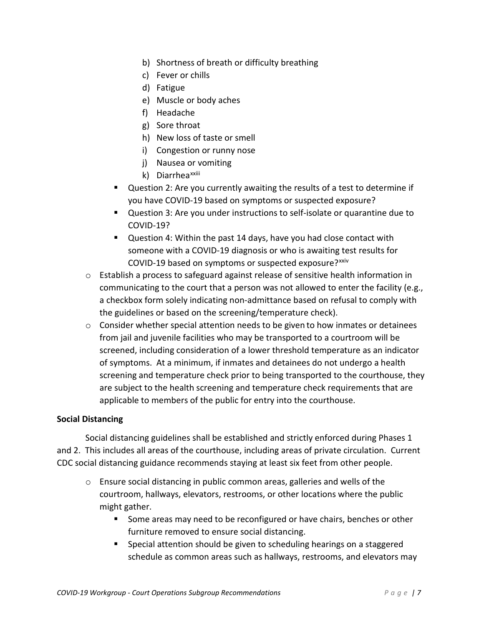- b) Shortness of breath or difficulty breathing
- c) Fever or chills
- d) Fatigue
- e) Muscle or body aches
- f) Headache
- g) Sore throat
- h) New loss of taste or smell
- i) Congestion or runny nose
- j) Nausea or vomiting
- k) D[i](#page-27-7)arrhea<sup>xxiii</sup>
- Question 2: Are you currently awaiting the results of a test to determine if you have COVID-19 based on symptoms or suspected exposure?
- Question 3: Are you under instructions to self-isolate or quarantine due to COVID-19?
- Question 4: Within the past 14 days, have you had close contact with someone with a COVID-19 diagnosis or who is awaiting test results for COVID-19 based on symptoms or suspected exposure?<sup>[xxiv](#page-27-8)</sup>
- o Establish a process to safeguard against release of sensitive health information in communicating to the court that a person was not allowed to enter the facility (e.g., a checkbox form solely indicating non-admittance based on refusal to comply with the guidelines or based on the screening/temperature check).
- o Consider whether special attention needs to be given to how inmates or detainees from jail and juvenile facilities who may be transported to a courtroom will be screened, including consideration of a lower threshold temperature as an indicator of symptoms. At a minimum, if inmates and detainees do not undergo a health screening and temperature check prior to being transported to the courthouse, they are subject to the health screening and temperature check requirements that are applicable to members of the public for entry into the courthouse.

#### **Social Distancing**

Social distancing guidelines shall be established and strictly enforced during Phases 1 and 2. This includes all areas of the courthouse, including areas of private circulation. Current CDC social distancing guidance recommends staying at least six feet from other people.

- o Ensure social distancing in public common areas, galleries and wells of the courtroom, hallways, elevators, restrooms, or other locations where the public might gather.
	- Some areas may need to be reconfigured or have chairs, benches or other furniture removed to ensure social distancing.
	- Special attention should be given to scheduling hearings on a staggered schedule as common areas such as hallways, restrooms, and elevators may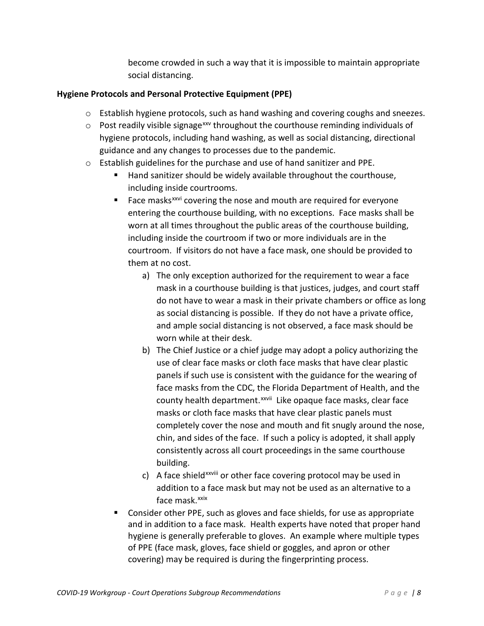become crowded in such a way that it is impossible to maintain appropriate social distancing.

#### **Hygiene Protocols and Personal Protective Equipment (PPE)**

- o Establish hygiene protocols, such as hand washing and covering coughs and sneezes.
- $\circ$  Post readily visible signage<sup>[xxv](#page-27-9)</sup> throughout the courthouse reminding individuals of hygiene protocols, including hand washing, as well as social distancing, directional guidance and any changes to processes due to the pandemic.
- o Establish guidelines for the purchase and use of hand sanitizer and PPE.
	- Hand sanitizer should be widely available throughout the courthouse, including inside courtrooms.
	- Face masks<sup> $xxvi$ </sup> covering the nose and mouth are required for everyone entering the courthouse building, with no exceptions. Face masks shall be worn at all times throughout the public areas of the courthouse building, including inside the courtroom if two or more individuals are in the courtroom. If visitors do not have a face mask, one should be provided to them at no cost.
		- a) The only exception authorized for the requirement to wear a face mask in a courthouse building is that justices, judges, and court staff do not have to wear a mask in their private chambers or office as long as social distancing is possible. If they do not have a private office, and ample social distancing is not observed, a face mask should be worn while at their desk.
		- b) The Chief Justice or a chief judge may adopt a policy authorizing the use of clear face masks or cloth face masks that have clear plastic panels if such use is consistent with the guidance for the wearing of face masks from the CDC, the Florida Department of Health, and the county health department.<sup>xxvii</sup> Like opaque face masks, clear face masks or cloth face masks that have clear plastic panels must completely cover the nose and mouth and fit snugly around the nose, chin, and sides of the face. If such a policy is adopted, it shall apply consistently across all court proceedings in the same courthouse building.
		- c) A face sh[i](#page-27-12)eld<sup>xxviii</sup> or other face covering protocol may be used in addition to a face mask but may not be used as an alternative to a face mask. [xxix](#page-27-13)
	- Consider other PPE, such as gloves and face shields, for use as appropriate and in addition to a face mask. Health experts have noted that proper hand hygiene is generally preferable to gloves. An example where multiple types of PPE (face mask, gloves, face shield or goggles, and apron or other covering) may be required is during the fingerprinting process.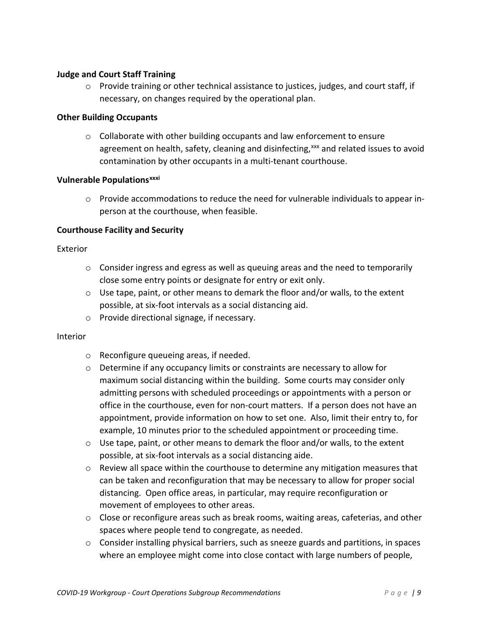#### **Judge and Court Staff Training**

 $\circ$  Provide training or other technical assistance to justices, judges, and court staff, if necessary, on changes required by the operational plan.

#### **Other Building Occupants**

 $\circ$  Collaborate with other building occupants and law enforcement to ensure agreement on health, safety, cleaning and disinfecting, [xxx](#page-27-14) and related issues to avoid contamination by other occupants in a multi-tenant courthouse.

#### **Vulnerable Populations[xxxi](#page-27-15)**

o Provide accommodations to reduce the need for vulnerable individuals to appear inperson at the courthouse, when feasible.

#### **Courthouse Facility and Security**

#### Exterior

- $\circ$  Consider ingress and egress as well as queuing areas and the need to temporarily close some entry points or designate for entry or exit only.
- $\circ$  Use tape, paint, or other means to demark the floor and/or walls, to the extent possible, at six-foot intervals as a social distancing aid.
- o Provide directional signage, if necessary.

#### Interior

- o Reconfigure queueing areas, if needed.
- o Determine if any occupancy limits or constraints are necessary to allow for maximum social distancing within the building. Some courts may consider only admitting persons with scheduled proceedings or appointments with a person or office in the courthouse, even for non-court matters. If a person does not have an appointment, provide information on how to set one. Also, limit their entry to, for example, 10 minutes prior to the scheduled appointment or proceeding time.
- o Use tape, paint, or other means to demark the floor and/or walls, to the extent possible, at six-foot intervals as a social distancing aide.
- $\circ$  Review all space within the courthouse to determine any mitigation measures that can be taken and reconfiguration that may be necessary to allow for proper social distancing. Open office areas, in particular, may require reconfiguration or movement of employees to other areas.
- $\circ$  Close or reconfigure areas such as break rooms, waiting areas, cafeterias, and other spaces where people tend to congregate, as needed.
- o Consider installing physical barriers, such as sneeze guards and partitions, in spaces where an employee might come into close contact with large numbers of people,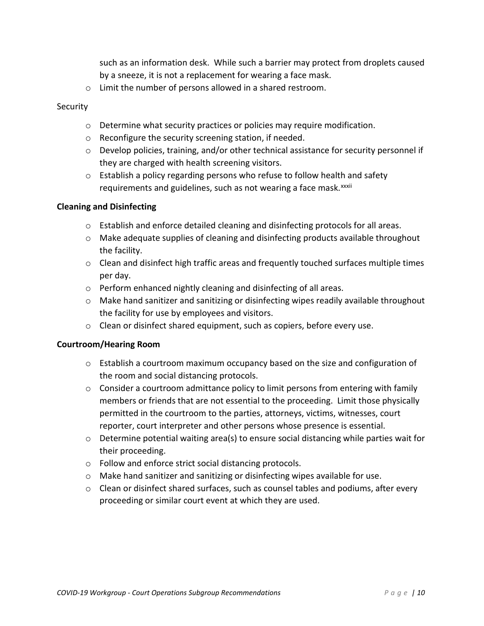such as an information desk. While such a barrier may protect from droplets caused by a sneeze, it is not a replacement for wearing a face mask.

o Limit the number of persons allowed in a shared restroom.

#### Security

- o Determine what security practices or policies may require modification.
- o Reconfigure the security screening station, if needed.
- o Develop policies, training, and/or other technical assistance for security personnel if they are charged with health screening visitors.
- $\circ$  Establish a policy regarding persons who refuse to follow health and safety requ[i](#page-27-16)rements and guidelines, such as not wearing a face mask. xxxii

#### **Cleaning and Disinfecting**

- o Establish and enforce detailed cleaning and disinfecting protocols for all areas.
- o Make adequate supplies of cleaning and disinfecting products available throughout the facility.
- o Clean and disinfect high traffic areas and frequently touched surfaces multiple times per day.
- o Perform enhanced nightly cleaning and disinfecting of all areas.
- $\circ$  Make hand sanitizer and sanitizing or disinfecting wipes readily available throughout the facility for use by employees and visitors.
- o Clean or disinfect shared equipment, such as copiers, before every use.

#### **Courtroom/Hearing Room**

- o Establish a courtroom maximum occupancy based on the size and configuration of the room and social distancing protocols.
- $\circ$  Consider a courtroom admittance policy to limit persons from entering with family members or friends that are not essential to the proceeding. Limit those physically permitted in the courtroom to the parties, attorneys, victims, witnesses, court reporter, court interpreter and other persons whose presence is essential.
- $\circ$  Determine potential waiting area(s) to ensure social distancing while parties wait for their proceeding.
- o Follow and enforce strict social distancing protocols.
- o Make hand sanitizer and sanitizing or disinfecting wipes available for use.
- $\circ$  Clean or disinfect shared surfaces, such as counsel tables and podiums, after every proceeding or similar court event at which they are used.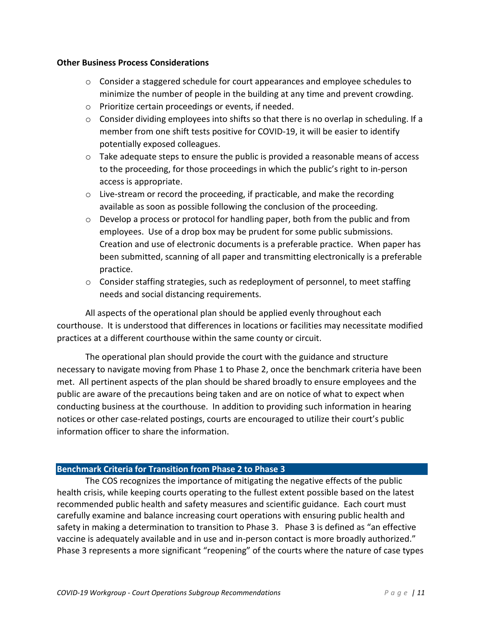#### **Other Business Process Considerations**

- $\circ$  Consider a staggered schedule for court appearances and employee schedules to minimize the number of people in the building at any time and prevent crowding.
- o Prioritize certain proceedings or events, if needed.
- $\circ$  Consider dividing employees into shifts so that there is no overlap in scheduling. If a member from one shift tests positive for COVID-19, it will be easier to identify potentially exposed colleagues.
- $\circ$  Take adequate steps to ensure the public is provided a reasonable means of access to the proceeding, for those proceedings in which the public's right to in-person access is appropriate.
- $\circ$  Live-stream or record the proceeding, if practicable, and make the recording available as soon as possible following the conclusion of the proceeding.
- $\circ$  Develop a process or protocol for handling paper, both from the public and from employees. Use of a drop box may be prudent for some public submissions. Creation and use of electronic documents is a preferable practice. When paper has been submitted, scanning of all paper and transmitting electronically is a preferable practice.
- $\circ$  Consider staffing strategies, such as redeployment of personnel, to meet staffing needs and social distancing requirements.

All aspects of the operational plan should be applied evenly throughout each courthouse. It is understood that differences in locations or facilities may necessitate modified practices at a different courthouse within the same county or circuit.

The operational plan should provide the court with the guidance and structure necessary to navigate moving from Phase 1 to Phase 2, once the benchmark criteria have been met. All pertinent aspects of the plan should be shared broadly to ensure employees and the public are aware of the precautions being taken and are on notice of what to expect when conducting business at the courthouse. In addition to providing such information in hearing notices or other case-related postings, courts are encouraged to utilize their court's public information officer to share the information.

#### **Benchmark Criteria for Transition from Phase 2 to Phase 3**

The COS recognizes the importance of mitigating the negative effects of the public health crisis, while keeping courts operating to the fullest extent possible based on the latest recommended public health and safety measures and scientific guidance. Each court must carefully examine and balance increasing court operations with ensuring public health and safety in making a determination to transition to Phase 3. Phase 3 is defined as "an effective vaccine is adequately available and in use and in-person contact is more broadly authorized." Phase 3 represents a more significant "reopening" of the courts where the nature of case types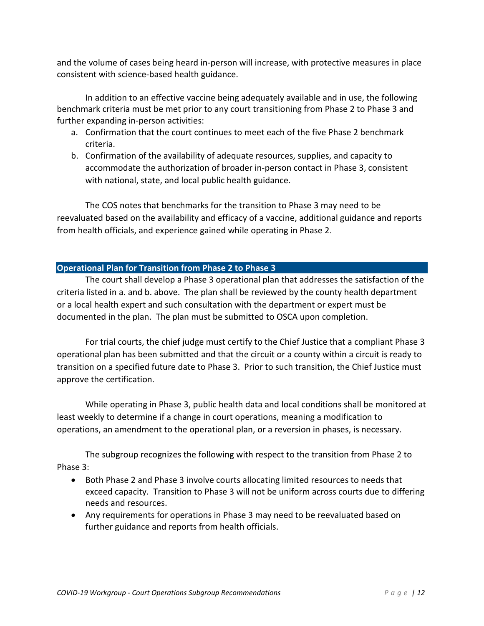and the volume of cases being heard in-person will increase, with protective measures in place consistent with science-based health guidance.

In addition to an effective vaccine being adequately available and in use, the following benchmark criteria must be met prior to any court transitioning from Phase 2 to Phase 3 and further expanding in-person activities:

- a. Confirmation that the court continues to meet each of the five Phase 2 benchmark criteria.
- b. Confirmation of the availability of adequate resources, supplies, and capacity to accommodate the authorization of broader in-person contact in Phase 3, consistent with national, state, and local public health guidance.

The COS notes that benchmarks for the transition to Phase 3 may need to be reevaluated based on the availability and efficacy of a vaccine, additional guidance and reports from health officials, and experience gained while operating in Phase 2.

#### **Operational Plan for Transition from Phase 2 to Phase 3**

The court shall develop a Phase 3 operational plan that addresses the satisfaction of the criteria listed in a. and b. above. The plan shall be reviewed by the county health department or a local health expert and such consultation with the department or expert must be documented in the plan. The plan must be submitted to OSCA upon completion.

For trial courts, the chief judge must certify to the Chief Justice that a compliant Phase 3 operational plan has been submitted and that the circuit or a county within a circuit is ready to transition on a specified future date to Phase 3. Prior to such transition, the Chief Justice must approve the certification.

While operating in Phase 3, public health data and local conditions shall be monitored at least weekly to determine if a change in court operations, meaning a modification to operations, an amendment to the operational plan, or a reversion in phases, is necessary.

The subgroup recognizes the following with respect to the transition from Phase 2 to Phase 3:

- Both Phase 2 and Phase 3 involve courts allocating limited resources to needs that exceed capacity. Transition to Phase 3 will not be uniform across courts due to differing needs and resources.
- Any requirements for operations in Phase 3 may need to be reevaluated based on further guidance and reports from health officials.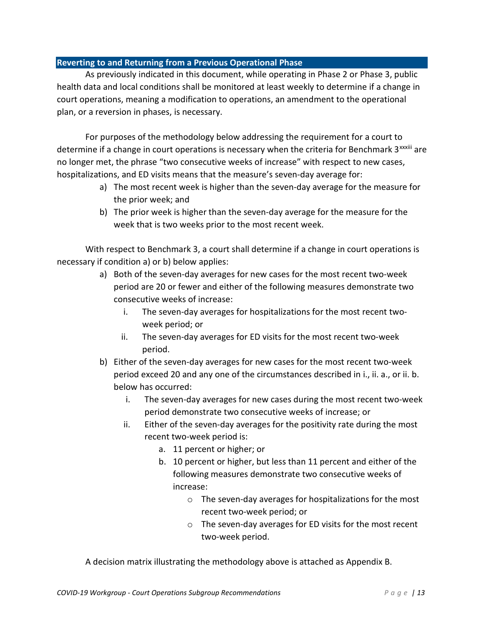#### **Reverting to and Returning from a Previous Operational Phase**

As previously indicated in this document, while operating in Phase 2 or Phase 3, public health data and local conditions shall be monitored at least weekly to determine if a change in court operations, meaning a modification to operations, an amendment to the operational plan, or a reversion in phases, is necessary.

For purposes of the methodology below addressing the requirement for a court to determ[i](#page-27-17)ne if a change in court operations is necessary when the criteria for Benchmark  $3^{xxxiii}$  are no longer met, the phrase "two consecutive weeks of increase" with respect to new cases, hospitalizations, and ED visits means that the measure's seven-day average for:

- a) The most recent week is higher than the seven-day average for the measure for the prior week; and
- b) The prior week is higher than the seven-day average for the measure for the week that is two weeks prior to the most recent week.

With respect to Benchmark 3, a court shall determine if a change in court operations is necessary if condition a) or b) below applies:

- a) Both of the seven-day averages for new cases for the most recent two-week period are 20 or fewer and either of the following measures demonstrate two consecutive weeks of increase:
	- i. The seven-day averages for hospitalizations for the most recent twoweek period; or
	- ii. The seven-day averages for ED visits for the most recent two-week period.
- b) Either of the seven-day averages for new cases for the most recent two-week period exceed 20 and any one of the circumstances described in i., ii. a., or ii. b. below has occurred:
	- i. The seven-day averages for new cases during the most recent two-week period demonstrate two consecutive weeks of increase; or
	- ii. Either of the seven-day averages for the positivity rate during the most recent two-week period is:
		- a. 11 percent or higher; or
		- b. 10 percent or higher, but less than 11 percent and either of the following measures demonstrate two consecutive weeks of increase:
			- o The seven-day averages for hospitalizations for the most recent two-week period; or
			- o The seven-day averages for ED visits for the most recent two-week period.

A decision matrix illustrating the methodology above is attached as Appendix B.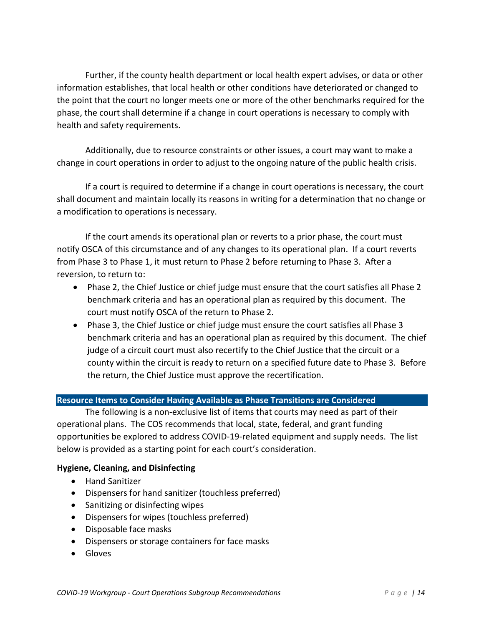Further, if the county health department or local health expert advises, or data or other information establishes, that local health or other conditions have deteriorated or changed to the point that the court no longer meets one or more of the other benchmarks required for the phase, the court shall determine if a change in court operations is necessary to comply with health and safety requirements.

Additionally, due to resource constraints or other issues, a court may want to make a change in court operations in order to adjust to the ongoing nature of the public health crisis.

If a court is required to determine if a change in court operations is necessary, the court shall document and maintain locally its reasons in writing for a determination that no change or a modification to operations is necessary.

If the court amends its operational plan or reverts to a prior phase, the court must notify OSCA of this circumstance and of any changes to its operational plan. If a court reverts from Phase 3 to Phase 1, it must return to Phase 2 before returning to Phase 3. After a reversion, to return to:

- Phase 2, the Chief Justice or chief judge must ensure that the court satisfies all Phase 2 benchmark criteria and has an operational plan as required by this document. The court must notify OSCA of the return to Phase 2.
- Phase 3, the Chief Justice or chief judge must ensure the court satisfies all Phase 3 benchmark criteria and has an operational plan as required by this document. The chief judge of a circuit court must also recertify to the Chief Justice that the circuit or a county within the circuit is ready to return on a specified future date to Phase 3. Before the return, the Chief Justice must approve the recertification.

#### **Resource Items to Consider Having Available as Phase Transitions are Considered**

The following is a non-exclusive list of items that courts may need as part of their operational plans. The COS recommends that local, state, federal, and grant funding opportunities be explored to address COVID-19-related equipment and supply needs. The list below is provided as a starting point for each court's consideration.

#### **Hygiene, Cleaning, and Disinfecting**

- Hand Sanitizer
- Dispensers for hand sanitizer (touchless preferred)
- Sanitizing or disinfecting wipes
- Dispensers for wipes (touchless preferred)
- Disposable face masks
- Dispensers or storage containers for face masks
- Gloves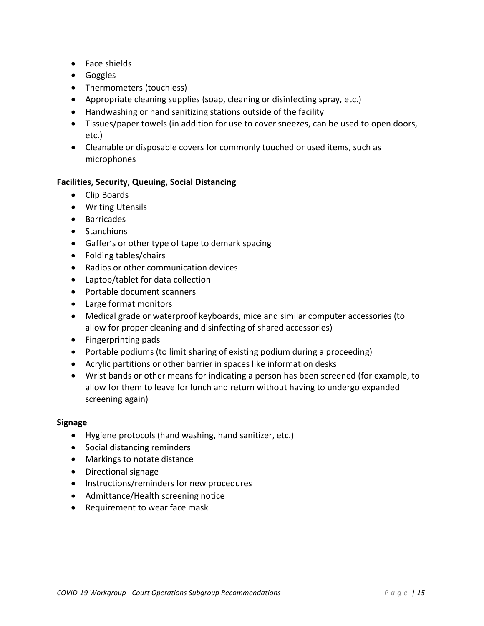- Face shields
- Goggles
- Thermometers (touchless)
- Appropriate cleaning supplies (soap, cleaning or disinfecting spray, etc.)
- Handwashing or hand sanitizing stations outside of the facility
- Tissues/paper towels (in addition for use to cover sneezes, can be used to open doors, etc.)
- Cleanable or disposable covers for commonly touched or used items, such as microphones

#### **Facilities, Security, Queuing, Social Distancing**

- Clip Boards
- Writing Utensils
- Barricades
- Stanchions
- Gaffer's or other type of tape to demark spacing
- Folding tables/chairs
- Radios or other communication devices
- Laptop/tablet for data collection
- Portable document scanners
- Large format monitors
- Medical grade or waterproof keyboards, mice and similar computer accessories (to allow for proper cleaning and disinfecting of shared accessories)
- Fingerprinting pads
- Portable podiums (to limit sharing of existing podium during a proceeding)
- Acrylic partitions or other barrier in spaces like information desks
- Wrist bands or other means for indicating a person has been screened (for example, to allow for them to leave for lunch and return without having to undergo expanded screening again)

#### **Signage**

- Hygiene protocols (hand washing, hand sanitizer, etc.)
- Social distancing reminders
- Markings to notate distance
- Directional signage
- Instructions/reminders for new procedures
- Admittance/Health screening notice
- Requirement to wear face mask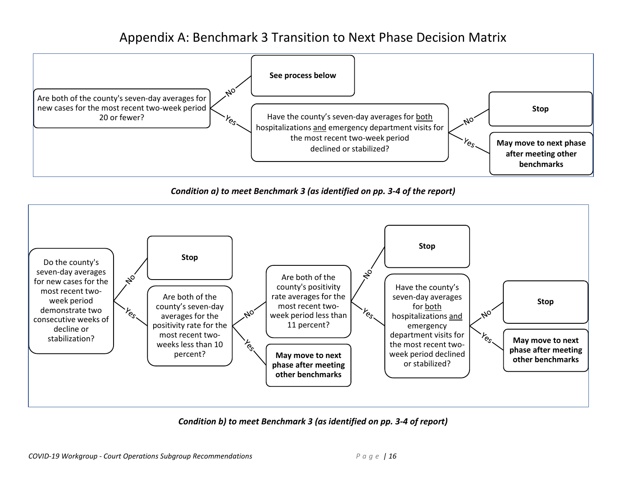## Appendix A: Benchmark 3 Transition to Next Phase Decision Matrix



*Condition a) to meet Benchmark 3 (as identified on pp. 3-4 of the report)*



*Condition b) to meet Benchmark 3 (as identified on pp. 3-4 of report)*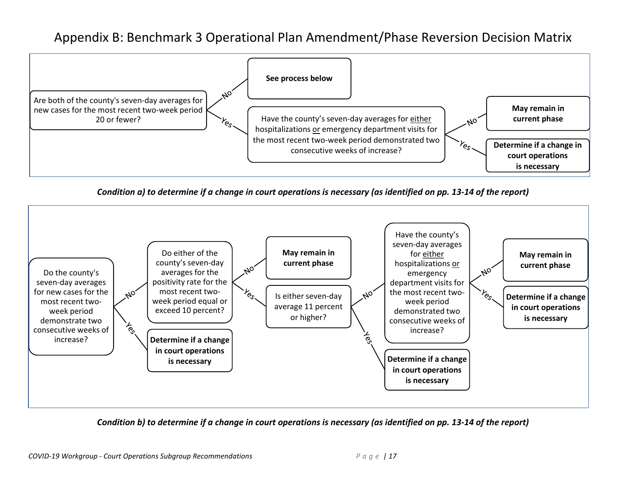## Appendix B: Benchmark 3 Operational Plan Amendment/Phase Reversion Decision Matrix



*Condition a) to determine if a change in court operations is necessary (as identified on pp. 13-14 of the report)*



*Condition b) to determine if a change in court operations is necessary (as identified on pp. 13-14 of the report)*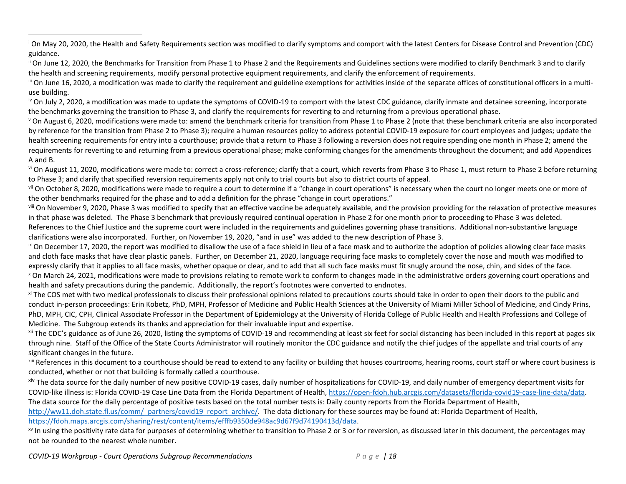<span id="page-26-0"></span><sup>i</sup> On May 20, 2020, the Health and Safety Requirements section was modified to clarify symptoms and comport with the latest Centers for Disease Control and Prevention (CDC) guidance.

<span id="page-26-1"></span>ii On June 12, 2020, the Benchmarks for Transition from Phase 1 to Phase 2 and the Requirements and Guidelines sections were modified to clarify Benchmark 3 and to clarify the health and screening requirements, modify personal protective equipment requirements, and clarify the enforcement of requirements.

<span id="page-26-2"></span>III On June 16, 2020, a modification was made to clarify the requirement and guideline exemptions for activities inside of the separate offices of constitutional officers in a multiuse building.

<span id="page-26-3"></span><sup>iv</sup> On July 2, 2020, a modification was made to update the symptoms of COVID-19 to comport with the latest CDC guidance, clarify inmate and detainee screening, incorporate the benchmarks governing the transition to Phase 3, and clarify the requirements for reverting to and returning from a previous operational phase.

<span id="page-26-4"></span><sup>v</sup> On August 6, 2020, modifications were made to: amend the benchmark criteria for transition from Phase 1 to Phase 2 (note that these benchmark criteria are also incorporated by reference for the transition from Phase 2 to Phase 3); require a human resources policy to address potential COVID-19 exposure for court employees and judges; update the health screening requirements for entry into a courthouse; provide that a return to Phase 3 following a reversion does not require spending one month in Phase 2; amend the requirements for reverting to and returning from a previous operational phase; make conforming changes for the amendments throughout the document; and add Appendices A and B.

<span id="page-26-5"></span>vi On August 11, 2020, modifications were made to: correct a cross-reference; clarify that a court, which reverts from Phase 3 to Phase 1, must return to Phase 2 before returning to Phase 3; and clarify that specified reversion requirements apply not only to trial courts but also to district courts of appeal.

<span id="page-26-6"></span><sup>vii</sup> On October 8, 2020, modifications were made to require a court to determine if a "change in court operations" is necessary when the court no longer meets one or more of the other benchmarks required for the phase and to add a definition for the phrase "change in court operations."

<span id="page-26-7"></span>VIII On November 9, 2020, Phase 3 was modified to specify that an effective vaccine be adequately available, and the provision providing for the relaxation of protective measures in that phase was deleted. The Phase 3 benchmark that previously required continual operation in Phase 2 for one month prior to proceeding to Phase 3 was deleted. References to the Chief Justice and the supreme court were included in the requirements and guidelines governing phase transitions. Additional non-substantive language clarifications were also incorporated. Further, on November 19, 2020, "and in use" was added to the new description of Phase 3.

<span id="page-26-8"></span><sup>ix</sup> On December 17, 2020, the report was modified to disallow the use of a face shield in lieu of a face mask and to authorize the adoption of policies allowing clear face masks and cloth face masks that have clear plastic panels. Further, on December 21, 2020, language requiring face masks to completely cover the nose and mouth was modified to expressly clarify that it applies to all face masks, whether opaque or clear, and to add that all such face masks must fit snugly around the nose, chin, and sides of the face.

<span id="page-26-9"></span><sup>x</sup> On March 24, 2021, modifications were made to provisions relating to remote work to conform to changes made in the administrative orders governing court operations and health and safety precautions during the pandemic. Additionally, the report's footnotes were converted to endnotes.

<span id="page-26-10"></span><sup>xi</sup> The COS met with two medical professionals to discuss their professional opinions related to precautions courts should take in order to open their doors to the public and conduct in-person proceedings: Erin Kobetz, PhD, MPH, Professor of Medicine and Public Health Sciences at the University of Miami Miller School of Medicine, and Cindy Prins, PhD, MPH, CIC, CPH, Clinical Associate Professor in the Department of Epidemiology at the University of Florida College of Public Health and Health Professions and College of Medicine. The Subgroup extends its thanks and appreciation for their invaluable input and expertise.

<span id="page-26-11"></span>xii The CDC's guidance as of June 26, 2020, listing the symptoms of COVID-19 and recommending at least six feet for social distancing has been included in this report at pages six through nine. Staff of the Office of the State Courts Administrator will routinely monitor the CDC guidance and notify the chief judges of the appellate and trial courts of any significant changes in the future.

<span id="page-26-12"></span>xiii References in this document to a courthouse should be read to extend to any facility or building that houses courtrooms, hearing rooms, court staff or where court business is conducted, whether or not that building is formally called a courthouse.

<span id="page-26-13"></span>xiv The data source for the daily number of new positive COVID-19 cases, daily number of hospitalizations for COVID-19, and daily number of emergency department visits for COVID-like illness is: Florida COVID-19 Case Line Data from the Florida Department of Health, [https://open-fdoh.hub.arcgis.com/datasets/florida-covid19-case-line-data/data.](https://open-fdoh.hub.arcgis.com/datasets/florida-covid19-case-line-data/data) The data source for the daily percentage of positive tests based on the total number tests is: Daily county reports from the Florida Department of Health, [http://ww11.doh.state.fl.us/comm/\\_partners/covid19\\_report\\_archive/.](http://ww11.doh.state.fl.us/comm/_partners/covid19_report_archive/) The data dictionary for these sources may be found at: Florida Department of Health, [https://fdoh.maps.arcgis.com/sharing/rest/content/items/efffb9350de948ac9d67f9d74190413d/data.](https://fdoh.maps.arcgis.com/sharing/rest/content/items/efffb9350de948ac9d67f9d74190413d/data)

<span id="page-26-14"></span><sup>xv</sup> In using the positivity rate data for purposes of determining whether to transition to Phase 2 or 3 or for reversion, as discussed later in this document, the percentages may not be rounded to the nearest whole number.

*COVID-19 Workgroup - Court Operations Subgroup Recommendations Page | 18*